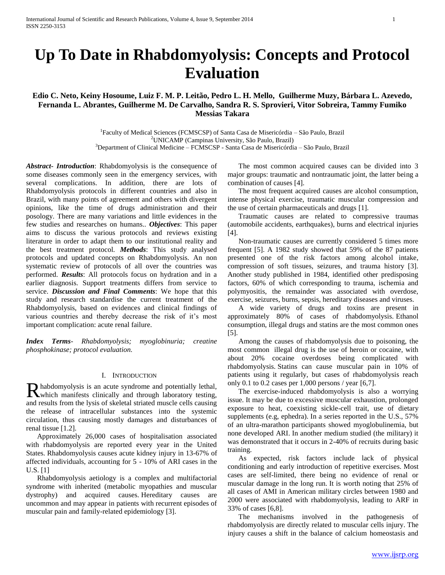# **Up To Date in Rhabdomyolysis: Concepts and Protocol Evaluation**

# **Edio C. Neto, Keiny Hosoume, Luiz F. M. P. Leitão, Pedro L. H. Mello, Guilherme Muzy, Bárbara L. Azevedo, Fernanda L. Abrantes, Guilherme M. De Carvalho, Sandra R. S. Sprovieri, Vitor Sobreira, Tammy Fumiko Messias Takara**

<sup>1</sup>Faculty of Medical Sciences (FCMSCSP) of Santa Casa de Misericórdia - São Paulo, Brazil <sup>2</sup>UNICAMP (Campinas University, São Paulo, Brazil) <sup>3</sup>Department of Clinical Medicine – FCMSCSP - Santa Casa de Misericórdia – São Paulo, Brazil

*Abstract***-** *Introduction*: Rhabdomyolysis is the consequence of some diseases commonly seen in the emergency services, with several complications. In addition, there are lots of Rhabdomyolysis protocols in different countries and also in Brazil, with many points of agreement and others with divergent opinions, like the time of drugs administration and their posology. There are many variations and little evidences in the few studies and researches on humans.. *Objectives*: This paper aims to discuss the various protocols and reviews existing literature in order to adapt them to our institutional reality and the best treatment protocol*. Methods*: This study analysed protocols and updated concepts on Rhabdomyolysis. An non systematic review of protocols of all over the countries was performed. *Results*: All protocols focus on hydration and in a earlier diagnosis. Support treatments differs from service to service. *Discussion and Final Comments*: We hope that this study and research standardise the current treatment of the Rhabdomyolysis, based on evidences and clinical findings of various countries and thereby decrease the risk of it's most important complication: acute renal failure.

*Index Terms*- *Rhabdomyolysis; myoglobinuria; creatine phosphokinase; protocol evaluation.*

## I. INTRODUCTION

habdomyolysis is an acute syndrome and potentially lethal, Rhabdomyolysis is an acute syndrome and potentially lethal, which manifests clinically and through laboratory testing, and results from the lysis of skeletal striated muscle cells causing the release of intracellular substances into the systemic circulation, thus causing mostly damages and disturbances of renal tissue [1.2].

 Approximately 26,000 cases of hospitalisation associated with rhabdomyolysis are reported every year in the United States. Rhabdomyolysis causes acute kidney injury in 13-67% of affected individuals, accounting for 5 - 10% of ARI cases in the U.S. [1]

 Rhabdomyolysis aetiology is a complex and multifactorial syndrome with inherited (metabolic myopathies and muscular dystrophy) and acquired causes. Hereditary causes are uncommon and may appear in patients with recurrent episodes of muscular pain and family-related epidemiology [3].

 The most common acquired causes can be divided into 3 major groups: traumatic and nontraumatic joint, the latter being a combination of causes [4].

 The most frequent acquired causes are alcohol consumption, intense physical exercise, traumatic muscular compression and the use of certain pharmaceuticals and drugs [1].

 Traumatic causes are related to compressive traumas (automobile accidents, earthquakes), burns and electrical injuries [4].

 Non-traumatic causes are currently considered 5 times more frequent [5]. A 1982 study showed that 59% of the 87 patients presented one of the risk factors among alcohol intake, compression of soft tissues, seizures, and trauma history [3]. Another study published in 1984, identified other predisposing factors, 60% of which corresponding to trauma, ischemia and polymyositis, the remainder was associated with overdose, exercise, seizures, burns, sepsis, hereditary diseases and viruses.

 A wide variety of drugs and toxins are present in approximately 80% of cases of rhabdomyolysis. Ethanol consumption, illegal drugs and statins are the most common ones [5].

 Among the causes of rhabdomyolysis due to poisoning, the most common illegal drug is the use of heroin or cocaine, with about 20% cocaine overdoses being complicated with rhabdomyolysis. Statins can cause muscular pain in 10% of patients using it regularly, but cases of rhabdomyolysis reach only 0.1 to 0.2 cases per  $1,000$  persons / year [6,7].

 The exercise-induced rhabdomyolysis is also a worrying issue. It may be due to excessive muscular exhaustion, prolonged exposure to heat, coexisting sickle-cell trait, use of dietary supplements (e.g, ephedra). In a series reported in the U.S., 57% of an ultra-marathon participants showed myoglobulinemia, but none developed ARI. In another medium studied (the military) it was demonstrated that it occurs in 2-40% of recruits during basic training.

 As expected, risk factors include lack of physical conditioning and early introduction of repetitive exercises. Most cases are self-limited, there being no evidence of renal or muscular damage in the long run. It is worth noting that 25% of all cases of AMI in American military circles between 1980 and 2000 were associated with rhabdomyolysis, leading to ARF in 33% of cases [6,8].

 The mechanisms involved in the pathogenesis of rhabdomyolysis are directly related to muscular cells injury. The injury causes a shift in the balance of calcium homeostasis and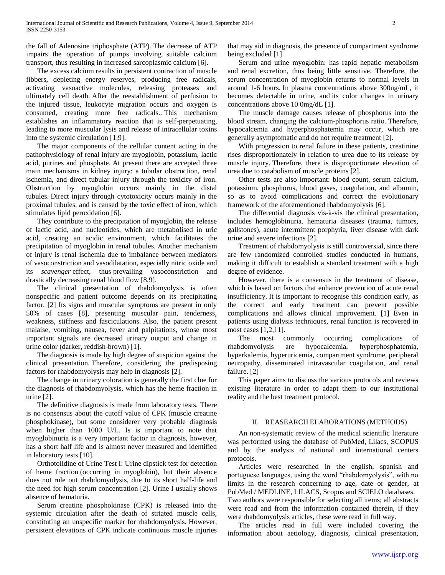the fall of Adenosine triphosphate (ATP). The decrease of ATP impairs the operation of pumps involving suitable calcium transport, thus resulting in increased sarcoplasmic calcium [6].

 The excess calcium results in persistent contraction of muscle fibbers, depleting energy reserves, producing free radicals, activating vasoactive molecules, releasing proteases and ultimately cell death. After the reestablishment of perfusion to the injured tissue, leukocyte migration occurs and oxygen is consumed, creating more free radicals.. This mechanism establishes an inflammatory reaction that is self-perpetuating, leading to more muscular lysis and release of intracellular toxins into the systemic circulation [1,9].

 The major components of the cellular content acting in the pathophysiology of renal injury are myoglobin, potassium, lactic acid, purines and phosphate. At present there are accepted three main mechanisms in kidney injury: a tubular obstruction, renal ischemia, and direct tubular injury through the toxicity of iron. Obstruction by myoglobin occurs mainly in the distal tubules. Direct injury through cytotoxicity occurs mainly in the proximal tubules, and is caused by the toxic effect of iron, which stimulates lipid peroxidation [6].

 They contribute to the precipitation of myoglobin, the release of lactic acid, and nucleotides, which are metabolised in uric acid, creating an acidic environment, which facilitates the precipitation of myoglobin in renal tubules. Another mechanism of injury is renal ischemia due to imbalance between mediators of vasoconstriction and vasodilatation, especially nitric oxide and its *scavenger* effect, thus prevailing vasoconstriction and drastically decreasing renal blood flow [8,9].

 The clinical presentation of rhabdomyolysis is often nonspecific and patient outcome depends on its precipitating factor. [2] Its signs and muscular symptoms are present in only 50% of cases [8], presenting muscular pain, tenderness, weakness, stiffness and fasciculations. Also, the patient present malaise, vomiting, nausea, fever and palpitations, whose most important signals are decreased urinary output and change in urine color (darker, reddish-brown) [1].

 The diagnosis is made by high degree of suspicion against the clinical presentation. Therefore, considering the predisposing factors for rhabdomyolysis may help in diagnosis [2].

 The change in urinary coloration is generally the first clue for the diagnosis of rhabdomyolysis, which has the heme fraction in urine [2].

 The definitive diagnosis is made from laboratory tests. There is no consensus about the cutoff value of CPK (muscle creatine phosphokinase), but some considerer very probable diagnosis when higher than 1000 U/L. Is is important to note that myoglobinuria is a very important factor in diagnosis, however, has a short half life and is almost never measured and identified in laboratory tests [10].

 Orthotolidine of Urine Test I: Urine dipstick test for detection of heme fraction (occurring in myoglobin), but their absence does not rule out rhabdomyolysis, due to its short half-life and the need for high serum concentration [2]. Urine I usually shows absence of hematuria.

 Serum creatine phosphokinase (CPK) is released into the systemic circulation after the death of striated muscle cells, constituting an unspecific marker for rhabdomyolysis. However, persistent elevations of CPK indicate continuous muscle injuries

that may aid in diagnosis, the presence of compartment syndrome being excluded [1].

 Serum and urine myoglobin: has rapid hepatic metabolism and renal excretion, thus being little sensitive. Therefore, the serum concentration of myoglobin returns to normal levels in around 1-6 hours. In plasma concentrations above 300ng/mL, it becomes detectable in urine, and its color changes in urinary concentrations above 10 0mg/dL [1].

 The muscle damage causes release of phosphorus into the blood stream, changing the calcium-phosphorus ratio. Therefore, hypocalcemia and hyperphosphatemia may occur, which are generally asymptomatic and do not require treatment [2].

 With progression to renal failure in these patients, creatinine rises disproportionately in relation to urea due to its release by muscle injury. Therefore, there is disproportionate elevation of urea due to catabolism of muscle proteins [2].

 Other tests are also important: blood count, serum calcium, potassium, phosphorus, blood gases, coagulation, and albumin, so as to avoid complications and correct the evolutionary framework of the aforementioned rhabdomyolysis [6].

 The differential diagnosis vis-à-vis the clinical presentation, includes hemoglobinuria, hematuria diseases (trauma, tumors, gallstones), acute intermittent porphyria, liver disease with dark urine and severe infections [2].

 Treatment of rhabdomyolysis is still controversial, since there are few randomized controlled studies conducted in humans, making it difficult to establish a standard treatment with a high degree of evidence.

 However, there is a consensus in the treatment of disease, which is based on factors that enhance prevention of acute renal insufficiency. It is important to recognise this condition early, as the correct and early treatment can prevent possible complications and allows clinical improvement. [1] Even in patients using dialysis techniques, renal function is recovered in most cases [1,2,11].

 The most commonly occurring complications of rhabdomyolysis are hypocalcemia, hyperphosphatemia, hyperkalemia, hyperuricemia, compartment syndrome, peripheral neuropathy, disseminated intravascular coagulation, and renal failure. [2]

 This paper aims to discuss the various protocols and reviews existing literature in order to adapt them to our institutional reality and the best treatment protocol.

## II. REASEARCH ELABORATIONS (METHODS)

 An non-systematic review of the medical scientific literature was performed using the database of PubMed, Lilacs, SCOPUS and by the analysis of national and international centers protocols.

 Articles were researched in the english, spanish and portuguese languages, using the word "rhabdomyolysis", with no limits in the research concerning to age, date or gender, at PubMed / MEDLINE, LILACS, Scopus and SCIELO databases. Two authors were responsible for selecting all items; all abstracts

were read and from the information contained therein, if they were rhabdomyolysis articles, these were read in full way.

 The articles read in full were included covering the information about aetiology, diagnosis, clinical presentation,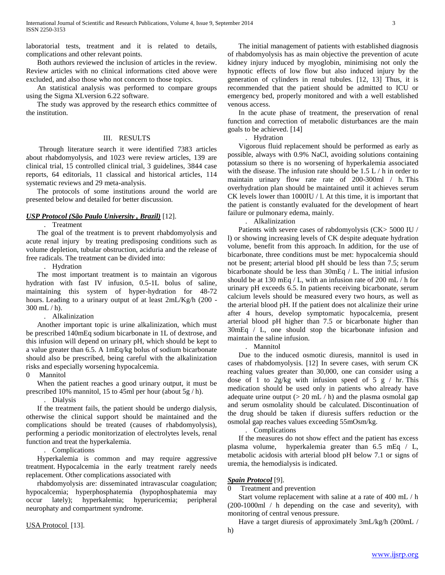laboratorial tests, treatment and it is related to details, complications and other relevant points.

 Both authors reviewed the inclusion of articles in the review. Review articles with no clinical informations cited above were excluded, and also those who not concern to those topics.

 An statistical analysis was performed to compare groups using the Sigma XLversion 6.22 software.

 The study was approved by the research ethics committee of the institution.

## III. RESULTS

 Through literature search it were identified 7383 articles about rhabdomyolysis, and 1023 were review articles, 139 are clinical trial, 15 controlled clinical trial, 3 guidelines, 3844 case reports, 64 editorials, 11 classical and historical articles, 114 systematic reviews and 29 meta-analysis.

 The protocols of some institutions around the world are presented below and detailed for better discussion.

## *USP Protocol (São Paulo University , Brazil)* [12].

. Treatment

 The goal of the treatment is to prevent rhabdomyolysis and acute renal injury by treating predisposing conditions such as volume depletion, tubular obstruction, aciduria and the release of free radicals. The treatment can be divided into:

. Hydration

 The most important treatment is to maintain an vigorous hydration with fast IV infusion, 0.5-1L bolus of saline, maintaining this system of hyper-hydration for 48-72 hours. Leading to a urinary output of at least 2mL/Kg/h (200 - 300 mL / h).

## . Alkalinization

 Another important topic is urine alkalinization, which must be prescribed 140mEq sodium bicarbonate in 1L of dextrose, and this infusion will depend on urinary pH, which should be kept to a value greater than 6.5. A 1mEq/kg bolus of sodium bicarbonate should also be prescribed, being careful with the alkalinization risks and especially worsening hypocalcemia.

0 Mannitol

 When the patient reaches a good urinary output, it must be prescribed 10% mannitol, 15 to 45ml per hour (about 5g / h).

. Dialysis

 If the treatment fails, the patient should be undergo dialysis, otherwise the clinical support should be maintained and the complications should be treated (causes of rhabdomyolysis), performing a periodic monitorization of electrolytes levels, renal function and treat the hyperkalemia.

. Complications

 Hyperkalemia is common and may require aggressive treatment. Hypocalcemia in the early treatment rarely needs replacement. Other complications associated with

 rhabdomyolysis are: disseminated intravascular coagulation; hypocalcemia; hyperphosphatemia (hypophosphatemia may occur lately); hyperkalemia; hyperuricemia; peripheral neurophaty and compartment syndrome.

USA Protocol [13].

 The initial management of patients with established diagnosis of rhabdomyolysis has as main objective the prevention of acute kidney injury induced by myoglobin, minimising not only the hypnotic effects of low flow but also induced injury by the generation of cylinders in renal tubules. [12, 13] Thus, it is recommended that the patient should be admitted to ICU or emergency bed, properly monitored and with a well established venous access.

 In the acute phase of treatment, the preservation of renal function and correction of metabolic disturbances are the main goals to be achieved. [14]

. Hydration

 Vigorous fluid replacement should be performed as early as possible, always with 0.9% NaCl, avoiding solutions containing potassium so there is no worsening of hyperkalemia associated with the disease. The infusion rate should be 1.5 L / h in order to maintain urinary flow rate rate of 200-300ml / h. This overhydration plan should be maintained until it achieves serum CK levels lower than 1000IU / l. At this time, it is important that the patient is constantly evaluated for the development of heart failure or pulmonary edema, mainly.

. Alkalinization

 Patients with severe cases of rabdomyolysis (CK> 5000 IU / l) or showing increasing levels of CK despite adequate hydration volume, benefit from this approach. In addition, for the use of bicarbonate, three conditions must be met: hypocalcemia should not be present; arterial blood pH should be less than 7.5; serum bicarbonate should be less than 30mEq / L. The initial infusion should be at 130 mEq / L, with an infusion rate of 200 mL / h for urinary pH exceeds 6.5. In patients receiving bicarbonate, serum calcium levels should be measured every two hours, as well as the arterial blood pH. If the patient does not alcalinize their urine after 4 hours, develop symptomatic hypocalcemia, present arterial blood pH higher than 7.5 or bicarbonate higher than 30mEq / L, one should stop the bicarbonate infusion and maintain the saline infusion.

. Mannitol

 Due to the induced osmotic diuresis, mannitol is used in cases of rhabdomyolysis. [12] In severe cases, with serum CK reaching values greater than 30,000, one can consider using a dose of 1 to  $2g/kg$  with infusion speed of 5 g / hr. This medication should be used only in patients who already have adequate urine output  $(> 20 \text{ mL } / \text{ h})$  and the plasma osmolal gap and serum osmolality should be calculated. Discontinuation of the drug should be taken if diuresis suffers reduction or the osmolal gap reaches values exceeding 55mOsm/kg.

. Complications

 If the measures do not show effect and the patient has excess plasma volume, hyperkalemia greater than 6.5 mEq / L, metabolic acidosis with arterial blood pH below 7.1 or signs of uremia, the hemodialysis is indicated.

## *Spain Protocol* [9].

0 Treatment and prevention

 Start volume replacement with saline at a rate of 400 mL / h (200-1000ml / h depending on the case and severity), with monitoring of central venous pressure.

Have a target diuresis of approximately 3mL/kg/h (200mL /

h)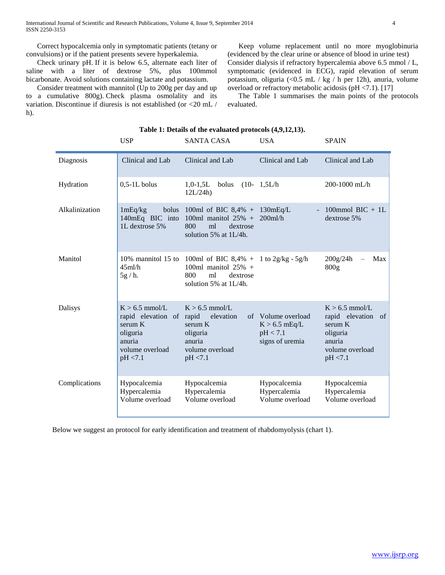Correct hypocalcemia only in symptomatic patients (tetany or convulsions) or if the patient presents severe hyperkalemia.

 Check urinary pH. If it is below 6.5, alternate each liter of saline with a liter of dextrose 5%, plus 100mmol bicarbonate. Avoid solutions containing lactate and potassium.

 Consider treatment with mannitol (Up to 200g per day and up to a cumulative 800g). Check plasma osmolality and its variation. Discontinue if diuresis is not established (or <20 mL / h).

 Keep volume replacement until no more myoglobinuria (evidenced by the clear urine or absence of blood in urine test) Consider dialysis if refractory hypercalemia above 6.5 mmol / L, symptomatic (evidenced in ECG), rapid elevation of serum potassium, oliguria (<0.5 mL / kg / h per 12h), anuria, volume overload or refractory metabolic acidosis (pH <7.1). [17]

 The Table 1 summarises the main points of the protocols evaluated.

|                | <b>USP</b>                                                                                                   | <b>SANTA CASA</b>                                                                                                                      | <b>USA</b>                                                           | <b>SPAIN</b>                                                                                                |
|----------------|--------------------------------------------------------------------------------------------------------------|----------------------------------------------------------------------------------------------------------------------------------------|----------------------------------------------------------------------|-------------------------------------------------------------------------------------------------------------|
| Diagnosis      | Clinical and Lab                                                                                             | Clinical and Lab                                                                                                                       | Clinical and Lab                                                     | Clinical and Lab                                                                                            |
| Hydration      | $0,5-1L$ bolus                                                                                               | $1,0-1,5L$<br>bolus<br>12L/24h                                                                                                         | $(10-1,5L/h)$                                                        | 200-1000 mL/h                                                                                               |
| Alkalinization | 1mEq/kg<br>bolus<br>140mEq BIC into<br>1L dextrose 5%                                                        | 100ml of BIC $8,4\% + 130$ mEq/L<br>100ml manitol $25\%$ +<br>800<br>ml<br>dextrose<br>solution 5% at 1L/4h.                           | $\equiv$<br>$200$ ml/h                                               | 100mmol BIC $+$ 1L<br>dextrose 5%                                                                           |
| Manitol        | 45ml/h<br>5g/h.                                                                                              | 10% mannitol 15 to 100ml of BIC 8,4% + 1 to $2g/kg - 5g/h$<br>100ml manitol $25\%$ +<br>800<br>ml<br>dextrose<br>solution 5% at 1L/4h. |                                                                      | 200g/24h<br>Max<br>800 <sub>g</sub>                                                                         |
| Dalisys        | $K > 6.5$ mmol/L<br>rapid elevation of rapid<br>serum K<br>oliguria<br>anuria<br>volume overload<br>pH < 7.1 | $K > 6.5$ mmol/L<br>elevation<br>serum K<br>oliguria<br>anuria<br>volume overload<br>pH < 7.1                                          | of Volume overload<br>$K > 6.5$ mEq/L<br>pH < 7.1<br>signs of uremia | $K > 6.5$ mmol/L<br>rapid elevation<br>- of<br>serum K<br>oliguria<br>anuria<br>volume overload<br>pH < 7.1 |
| Complications  | Hypocalcemia<br>Hypercalemia<br>Volume overload                                                              | Hypocalcemia<br>Hypercalemia<br>Volume overload                                                                                        | Hypocalcemia<br>Hypercalemia<br>Volume overload                      | Hypocalcemia<br>Hypercalemia<br>Volume overload                                                             |

## **Table 1: Details of the evaluated protocols (4,9,12,13).**

Below we suggest an protocol for early identification and treatment of rhabdomyolysis (chart 1).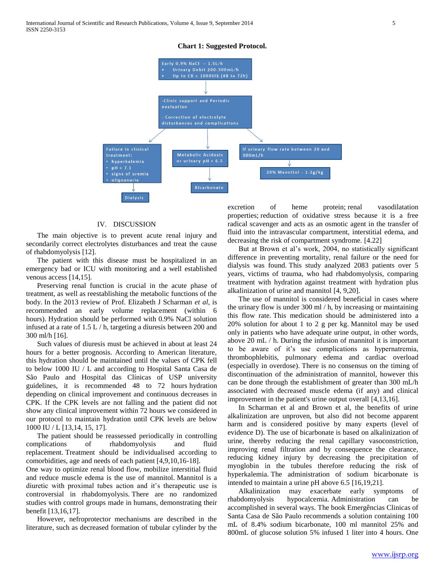#### **Chart 1: Suggested Protocol.**



## IV. DISCUSSION

 The main objective is to prevent acute renal injury and secondarily correct electrolytes disturbances and treat the cause of rhabdomyolysis [12].

 The patient with this disease must be hospitalized in an emergency bad or ICU with monitoring and a well established venous access [14,15].

 Preserving renal function is crucial in the acute phase of treatment, as well as reestablishing the metabolic functions of the body. In the 2013 review of Prof. Elizabeth J Scharman *et al*, is recommended an early volume replacement (within 6 hours). Hydration should be performed with 0.9% NaCl solution infused at a rate of 1.5 L / h, targeting a diuresis between 200 and 300 ml/h [16].

 Such values of diuresis must be achieved in about at least 24 hours for a better prognosis. According to American literature, this hydration should be maintained until the values of CPK fell to below 1000 IU / L and according to Hospital Santa Casa de São Paulo and Hospital das Clínicas of USP university guidelines, it is recommended 48 to 72 hours hydration depending on clinical improvement and continuous decreases in CPK. If the CPK levels are not falling and the patient did not show any clinical improvement within 72 hours we considered in our protocol to maintain hydration until CPK levels are below 1000 IU / L [13,14, 15, 17].

 The patient should be reassessed periodically in controlling complications of rhabdomyolysis and fluid replacement. Treatment should be individualised according to comorbidities, age and needs of each patient [4,9,10,16-18].

One way to optimize renal blood flow, mobilize interstitial fluid and reduce muscle edema is the use of mannitol. Mannitol is a diuretic with proximal tubes action and it's therapeutic use is controversial in rhabdomyolysis. There are no randomized studies with control groups made in humans, demonstrating their benefit [13,16,17].

 However, nefroprotector mechanisms are described in the literature, such as decreased formation of tubular cylinder by the excretion of heme protein; renal vasodilatation properties; reduction of oxidative stress because it is a free radical scavenger and acts as an osmotic agent in the transfer of fluid into the intravascular compartment, interstitial edema, and decreasing the risk of compartment syndrome. [4.22]

 But at Brown et al's work, 2004, no statistically significant difference in preventing mortality, renal failure or the need for dialysis was found. This study analyzed 2083 patients over 5 years, victims of trauma, who had rhabdomyolysis, comparing treatment with hydration against treatment with hydration plus alkalinization of urine and mannitol [4, 9,20].

 The use of mannitol is considered beneficial in cases where the urinary flow is under 300 ml / h, by increasing or maintaining this flow rate. This medication should be administered into a 20% solution for about 1 to 2 g per kg. Mannitol may be used only in patients who have adequate urine output, in other words, above 20 mL / h. During the infusion of mannitol it is important to be aware of it's use complications as hypernatremia, thrombophlebitis, pulmonary edema and cardiac overload (especially in overdose). There is no consensus on the timing of discontinuation of the administration of mannitol, however this can be done through the establishment of greater than 300 mL/h associated with decreased muscle edema (if any) and clinical improvement in the patient's urine output overall [4,13,16].

 In Scharman et al and Brown et al, the benefits of urine alkalinization are unproven, but also did not become apparent harm and is considered positive by many experts (level of evidence D). The use of bicarbonate is based on alkalinization of urine, thereby reducing the renal capillary vasoconstriction, improving renal filtration and by consequence the clearance, reducing kidney injury by decreasing the precipitation of myoglobin in the tubules therefore reducing the risk of hyperkalemia. The administration of sodium bicarbonate is intended to maintain a urine pH above 6.5 [16,19,21].

 Alkalinization may exacerbate early symptoms of rhabdomyolysis hypocalcemia. Administration can be accomplished in several ways. The book Emergências Clinicas of Santa Casa de São Paulo recommends a solution containing 100 mL of 8.4% sodium bicarbonate, 100 ml mannitol 25% and 800mL of glucose solution 5% infused 1 liter into 4 hours. One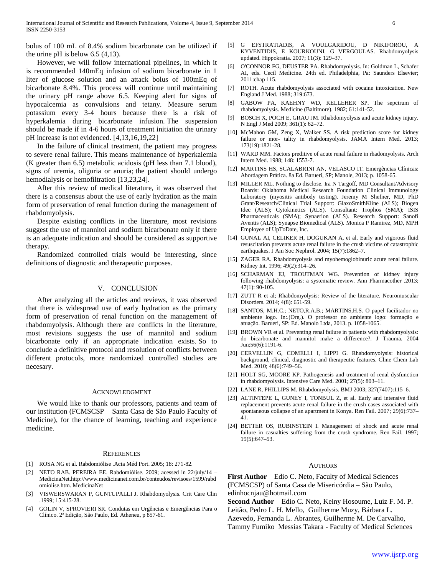bolus of 100 mL of 8.4% sodium bicarbonate can be utilized if the urine pH is below  $6.5$  (4,13).

 However, we will follow international pipelines, in which it is recommended 140mEq infusion of sodium bicarbonate in 1 liter of glucose solution and an attack bolus of 100mEq of bicarbonate 8.4%. This process will continue until maintaining the urinary pH range above 6.5. Keeping alert for signs of hypocalcemia as convulsions and tetany. Measure serum potassium every 3-4 hours because there is a risk of hyperkalemia during bicarbonate infusion. The suspension should be made if in 4-6 hours of treatment initiation the urinary pH increase is not evidenced. [4,13,16,19,22]

 In the failure of clinical treatment, the patient may progress to severe renal failure. This means maintenance of hyperkalemia (K greater than 6.5) metabolic acidosis (pH less than 7.1 blood), signs of uremia, oliguria or anuria; the patient should undergo hemodialysis or hemofiltration [13,23,24].

 After this review of medical literature, it was observed that there is a consensus about the use of early hydration as the main form of preservation of renal function during the management of rhabdomyolysis.

 Despite existing conflicts in the literature, most revisions suggest the use of mannitol and sodium bicarbonate only if there is an adequate indication and should be considered as supportive therapy.

 Randomized controlled trials would be interesting, since definitions of diagnostic and therapeutic purposes.

#### V. CONCLUSION

 After analyzing all the articles and reviews, it was observed that there is widespread use of early hydration as the primary form of preservation of renal function on the management of rhabdomyolysis. Although there are conflicts in the literature, most revisions suggests the use of mannitol and sodium bicarbonate only if an appropriate indication exists. So to conclude a definitive protocol and resolution of conflicts between different protocols, more randomized controlled studies are necesary.

#### ACKNOWLEDGMENT

 We would like to thank our professors, patients and team of our institution (FCMSCSP – Santa Casa de São Paulo Faculty of Medicine), for the chance of learning, teaching and experience medicine.

#### **REFERENCES**

- [1] ROSA NG et al. Rabdomiólise .Acta Méd Port. 2005; 18: 271-82.
- [2] NETO RAB. PEREIRA EE. Rabdomiólise. 2009; acessed in 22/july/14 MedicinaNet.http://www.medicinanet.com.br/conteudos/revisoes/1599/rabd omiolise.htm. MedicinaNet
- [3] VISWERSWARAN P, GUNTUPALLI J. Rhabdomyolysis. Crit Care Clin .1999; 15:415-28.
- [4] GOLIN V, SPROVIERI SR. Condutas em Urgências e Emergências Para o Clínico. 2ª Edição, São Paulo, Ed. Atheneu, p 857-61.
- [5] G EFSTRATIADIS, A VOULGARIDOU, D NIKIFOROU, A KYVENTIDIS, E KOURKOUNI, G VERGOULAS. Rhabdomyolysis updated. Hippokratia. 2007; 11(3): 129–37.
- [6] O'CONNOR FG, DEUSTER PA. Rhabdomyolysis. In: Goldman L, Schafer AI, eds. Cecil Medicine. 24th ed. Philadelphia, Pa: Saunders Elsevier; 2011:chap 115.
- [7] ROTH. Acute rhabdomyolysis associated with cocaine intoxication. New England J Med. 1988; 319:673.
- [8] GABOW PA, KAEHNY WD, KELLEHER SP. The sepctrum of rhabdomyolysis. Medicine (Baltimore). 1982; 61:141-52.
- [9] BOSCH X, POCH E, GRAU JM. Rhabdomyolysis and acute kidney injury. N Engl J Med 2009; 361(1): 62–72.
- [10] McMahon GM, Zeng X, Walker SS. A risk prediction score for kidney failure or mor- tality in rhabdomyolysis. JAMA Intern Med. 2013; 173(19):1821-28.
- [11] WARD MM. Factors preditive of acute renal failure in rhadomyolysis. Arch Intern Med. 1988; 148: 1553-7.
- [12] MARTINS HS, SCALABRINI AN, VELASCO IT. Emergências Clínicas: Abordagem Prática. 8a Ed. Barueri, SP; Manole, 2013; p. 1058-65.
- [13] MILLER ML. Nothing to disclose. Ira N Targoff, MD Consultant/Advisory Boards: Oklahoma Medical Research Foundation Clinical Immunology Laboratory (myositis antibody testing). Jeremy M Shefner, MD, PhD Grant/Research/Clinical Trial Support: GlaxoSmithKline (ALS); Biogen Idec (ALS); Cytokinetics (ALS). Consultant: Trophos (SMA); ISIS Pharmaceuticals (SMA); Synaerion (ALS). Research Support: Sanofi Aventis (ALS); Synapse Biomedical (ALS). Monica P Ramirez, MD, MPH Employee of UpToDate, Inc.
- [14] GUNAL AI, CELIKER H, DOGUKAN A, et al. Early and vigorous fluid resuscitation prevents acute renal failure in the crush victims of catastrophic earthquakes. J Am Soc Nephrol. 2004; 15(7):1862-7.
- [15] ZAGER RA. Rhabdomyolysis and myohemoglobinuric acute renal failure. Kidney Int. 1996; 49(2):314–26.
- [16] SCHARMAN EJ, TROUTMAN WG. Prevention of kidney injury following rhabdomyolysis: a systematic review. Ann Pharmacother .2013; 47(1): 90-105.
- [17] ZUTT R et al; Rhabdomyolysis: Review of the literature. Neuromuscular Disorders. 2014; 4(8): 651-59.
- [18] SANTOS, M.H.C.; NETO,R.A.B.; MARTINS,H.S. O papel facilitador no ambiente logo. In:.(Org.). O professor no ambiente logo: formação e atuação. Barueri, SP: Ed. Manolo Ltda, 2013. p. 1058-1065.
- [19] BROWN VR et al. Preventing renal failure in patients with rhabdomyolysis: do bicarbonate and mannitol make a difference?. J Trauma. 2004 Jun;56(6):1191-6.
- [20] CERVELLIN G, COMELLI I, LIPPI G. Rhabdomyolysis: historical background, clinical, diagnostic and therapeutic features. Cline Chem Lab Med. 2010; 48(6):749–56.
- [21] HOLT SG, MOORE KP. Pathogenesis and treatment of renal dysfunction in rhabdomyolysis. Intensive Care Med. 2001; 27(5): 803–11.
- [22] LANE R, PHILLIPS M. Rhabdomyolysis. BMJ 2003; 327(7407):115–6.
- [23] ALTINTEPE L, GUNEY I, TONBUL Z, et al. Early and intensive fluid replacement prevents acute renal failure in the crush cases associated with spontaneous collapse of an apartment in Konya. Ren Fail. 2007; 29(6):737– 41.
- [24] BETTER OS, RUBINSTEIN I. Management of shock and acute renal failure in casualties suffering from the crush syndrome. Ren Fail. 1997; 19(5):647–53.

#### AUTHORS

**First Author** – Edio C. Neto, Faculty of Medical Sciences (FCMSCSP) of Santa Casa de Misericórdia – São Paulo, edinhocnjau@hotmail.com

**Second Author** – Edio C. Neto, Keiny Hosoume, Luiz F. M. P. Leitão, Pedro L. H. Mello, Guilherme Muzy, Bárbara L.

Azevedo, Fernanda L. Abrantes, Guilherme M. De Carvalho,

Tammy Fumiko Messias Takara - Faculty of Medical Sciences